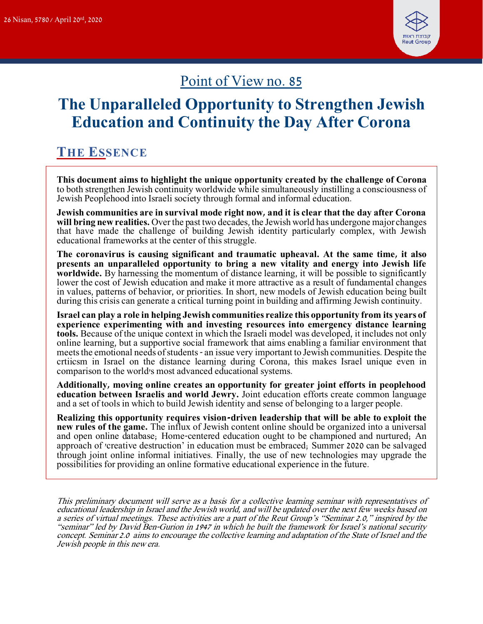

# Point of View no. 85

# **The Unparalleled Opportunity to Strengthen Jewish Education and Continuity the Day After Corona**

# **THE ESSENCE**

**This document aims to highlight the unique opportunity created by the challenge of Corona** to both strengthen Jewish continuity worldwide while simultaneously instilling a consciousness of Jewish Peoplehood into Israeli society through formal and informal education.

**Jewish communities are in survival mode right now, and it is clear that the day after Corona will bring new realities.** Over the past two decades, the Jewish world has undergone major changes that have made the challenge of building Jewish identity particularly complex, with Jewish educational frameworks at the center of this struggle.

**The coronavirus is causing significant and traumatic upheaval. At the same time, it also presents an unparalleled opportunity to bring a new vitality and energy into Jewish life worldwide.** By harnessing the momentum of distance learning, it will be possible to significantly lower the cost of Jewish education and make it more attractive as a result of fundamental changes in values, patterns of behavior, or priorities. In short, new models of Jewish education being built during this crisis can generate a critical turning point in building and affirming Jewish continuity.

**Israel can play a role in helping Jewish communities realize this opportunity from its years of experience experimenting with and investing resources into emergency distance learning tools.** Because of the unique context in which the Israeli model was developed, it includes not only online learning, but a supportive social framework that aims enabling a familiar environment that meets the emotional needs of students - an issue very important to Jewish communities. Despite the crtiicsm in Israel on the distance learning during Corona, this makes Israel unique even in comparison to the world's most advanced educational systems.

**Additionally, moving online creates an opportunity for greater joint efforts in peoplehood education between Israelis and world Jewry.** Joint education efforts create common language and a set of tools in which to build Jewish identity and sense of belonging to a larger people.

**Realizing this opportunity requires vision-driven leadership that will be able to exploit the new rules of the game.** The influx of Jewish content online should be organized into a universal and open online database; Home-centered education ought to be championed and nurtured; An approach of 'creative destruction' in education must be embraced; Summer 2020 can be salvaged through joint online informal initiatives. Finally, the use of new technologies may upgrade the possibilities for providing an online formative educational experience in the future.

This preliminary document will serve as <sup>a</sup> basis for <sup>a</sup> collective learning seminar with representatives of educational leadership in Israel and the Jewish world, and will be updated over the next few weeks based on <sup>a</sup> series of virtual meetings. These activities are <sup>a</sup> part of the Reut Group's "Seminar 2.0," inspired by the "seminar" led by David Ben-Gurion in <sup>1947</sup> in which he built the framework for Israel's national security concept. Seminar 2.0 aims to encourage the collective learning and adaptation of the State of Israel and the Jewish people in this new era.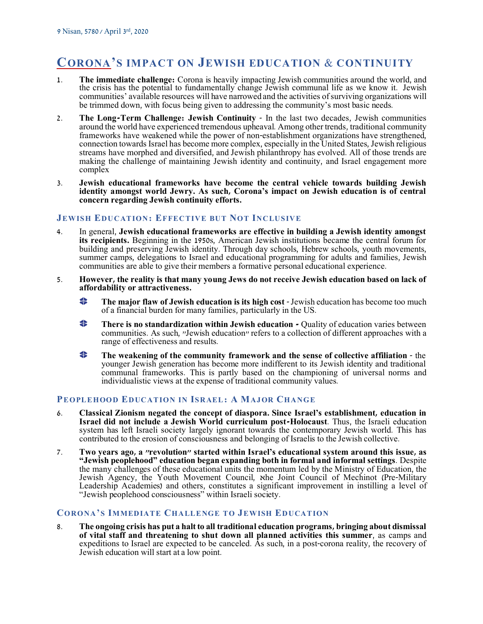### **CORONA'S IMPACT ON JEWISH EDUCATION & CONTINUITY**

- 1. **The immediate challenge:** Corona is heavily impacting Jewish communities around the world, and the crisis has the potential to fundamentally change Jewish communal life as we know it. Jewish communities' available resources will have narrowed and the activities ofsurviving organizations will be trimmed down, with focus being given to addressing the community's most basic needs.
- 2. **The Long-Term Challenge: Jewish Continuity** In the last two decades, Jewish communities around the world have experienced tremendous upheaval. Among other trends, traditional community frameworks have weakened while the power of non-establishment organizations have strengthened, connection towards Israel has become more complex, especially in the United States, Jewish religious streams have morphed and diversified, and Jewish philanthropy has evolved. All of those trends are making the challenge of maintaining Jewish identity and continuity, and Israel engagement more complex
- 3. **Jewish educational frameworks have become the central vehicle towards building Jewish identity amongst world Jewry. As such, Corona's impact on Jewish education is of central concern regarding Jewish continuity efforts.**

#### **JE WIS H ED U C AT IO N: EF FE C T IVE BU T NO T IN C LU S IV E**

- 4. In general, **Jewish educational frameworks are effective in building a Jewish identity amongst its recipients.** Beginning in the 1950s, American Jewish institutions became the central forum for building and preserving Jewish identity. Through day schools, Hebrew schools, youth movements, summer camps, delegations to Israel and educational programming for adults and families, Jewish communities are able to give their members a formative personal educational experience.
- 5. **However, the reality is that many young Jews do not receive Jewish education based on lack of affordability or attractiveness.**
	- \$ **The major flaw of Jewish education is its high cost** -Jewish education has become too much of a financial burden for many families, particularly in the US.
	- \$ **There is no standardization within Jewish education -** Quality of education varies between communities. As such, "Jewish education" refers to a collection of different approaches with a range of effectiveness and results.
	- $\blacktriangle$ **The weakening of the community framework and the sense of collective affiliation** - the younger Jewish generation has become more indifferent to its Jewish identity and traditional communal frameworks. This is partly based on the championing of universal norms and individualistic views at the expense of traditional community values.

#### **PE O PL E H OO D ED UC A T IO N IN IS R AE L: A MA J OR CH A N G E**

- 6. **Classical Zionism negated the concept of diaspora. Since Israel's establishment, education in Israel did not include a Jewish World curriculum post-Holocaust**. Thus, the Israeli education system has left Israeli society largely ignorant towards the contemporary Jewish world. This has contributed to the erosion of consciousness and belonging of Israelis to the Jewish collective.
- 7. **Two years ago, a "revolution" started within Israel's educational system around this issue, as "Jewish peoplehood" education began expanding both in formal and informal settings**. Despite the many challenges of these educational units the momentum led by the Ministry of Education, the Jewish Agency, the Youth Movement Council, אhe Joint Council of Mechinot (Pre-Military Leadership Academies) and others, constitutes a significant improvement in instilling a level of "Jewish peoplehood consciousness" within Israeli society.

#### **CORONA'S IMMEDIATE CHALLENGE TO JEWISH EDUCATION**

8. **The ongoing crisis has put a halt to all traditional education programs, bringing about dismissal of vital staff and threatening to shut down all planned activities this summer**, as camps and expeditions to Israel are expected to be canceled. As such, in a post-corona reality, the recovery of Jewish education will start at a low point.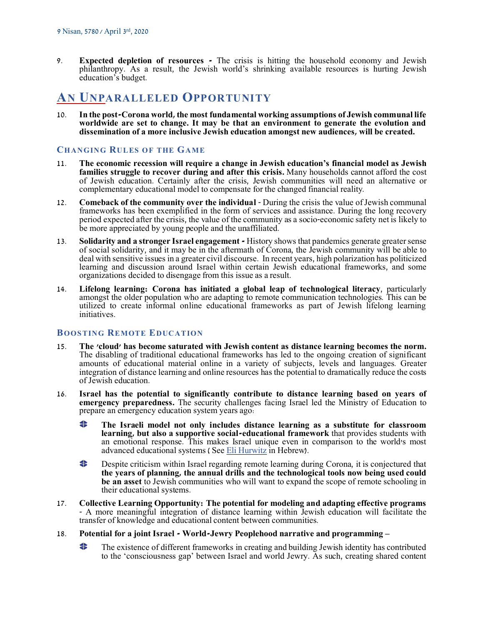9. **Expected depletion of resources -** The crisis is hitting the household economy and Jewish philanthropy. As a result, the Jewish world's shrinking available resources is hurting Jewish education's budget.

### **AN UNPARALLELED OPPORTUNITY**

10. **In the post-Corona world, the most fundamental working assumptions of Jewish communal life worldwide are set to change. It may be that an environment to generate the evolution and dissemination of a more inclusive Jewish education amongst new audiences, will be created.**

#### **CH A N G IN G RU L ES O F T HE GA ME**

- 11. **The economic recession will require a change in Jewish education's financial model as Jewish families struggle to recover during and after this crisis.** Many households cannot afford the cost of Jewish education. Certainly after the crisis, Jewish communities will need an alternative or complementary educational model to compensate for the changed financial reality.
- 12. **Comeback of the community over the individual** During the crisis the value ofJewish communal frameworks has been exemplified in the form of services and assistance. During the long recovery period expected after the crisis, the value of the community as a socio-economic safety net is likely to be more appreciated by young people and the unaffiliated.
- 13. **Solidarity and a stronger Israel engagement -** History shows that pandemics generate greatersense of social solidarity, and it may be in the aftermath of Corona, the Jewish community will be able to deal with sensitive issues in a greater civil discourse. In recent years, high polarization has politicized learning and discussion around Israel within certain Jewish educational frameworks, and some organizations decided to disengage from this issue as a result.
- 14. **Lifelong learning: Corona has initiated a global leap of technological literacy**, particularly amongst the older population who are adapting to remote communication technologies. This can be utilized to create informal online educational frameworks as part of Jewish lifelong learning initiatives.

#### **BOOSTING REMOTE EDUCATION**

- 15. **The 'cloud' has become saturated with Jewish content as distance learning becomes the norm.** The disabling of traditional educational frameworks has led to the ongoing creation of significant amounts of educational material online in a variety of subjects, levels and languages. Greater integration of distance learning and online resources has the potential to dramatically reduce the costs of Jewish education.
- 16. **Israel has the potential to significantly contribute to distance learning based on years of emergency preparedness.** The security challenges facing Israel led the Ministry of Education to prepare an emergency education system years ago:
	- ♣ **The Israeli model not only includes distance learning as a substitute for classroom learning, but also a supportive social-educational framework** that provides students with an emotional response. This makes Israel unique even in comparison to the world's most advanced educational systems ( See Eli [Hurwitz](https://www.edunow.org.il/edunow-media-story-257762) in Hebrew).
	- ❤ Despite criticism within Israel regarding remote learning during Corona, it is conjectured that **the years of planning, the annual drills and the technological tools now being used could be an asset** to Jewish communities who will want to expand the scope of remote schooling in their educational systems.
- 17. **Collective Learning Opportunity: The potential for modeling and adapting effective programs** - A more meaningful integration of distance learning within Jewish education will facilitate the transfer of knowledge and educational content between communities.
- 18. **Potential for a joint Israel - World-Jewry Peoplehood narrative and programming –**
	- 零 The existence of different frameworks in creating and building Jewish identity has contributed to the 'consciousness gap' between Israel and world Jewry. As such, creating shared content